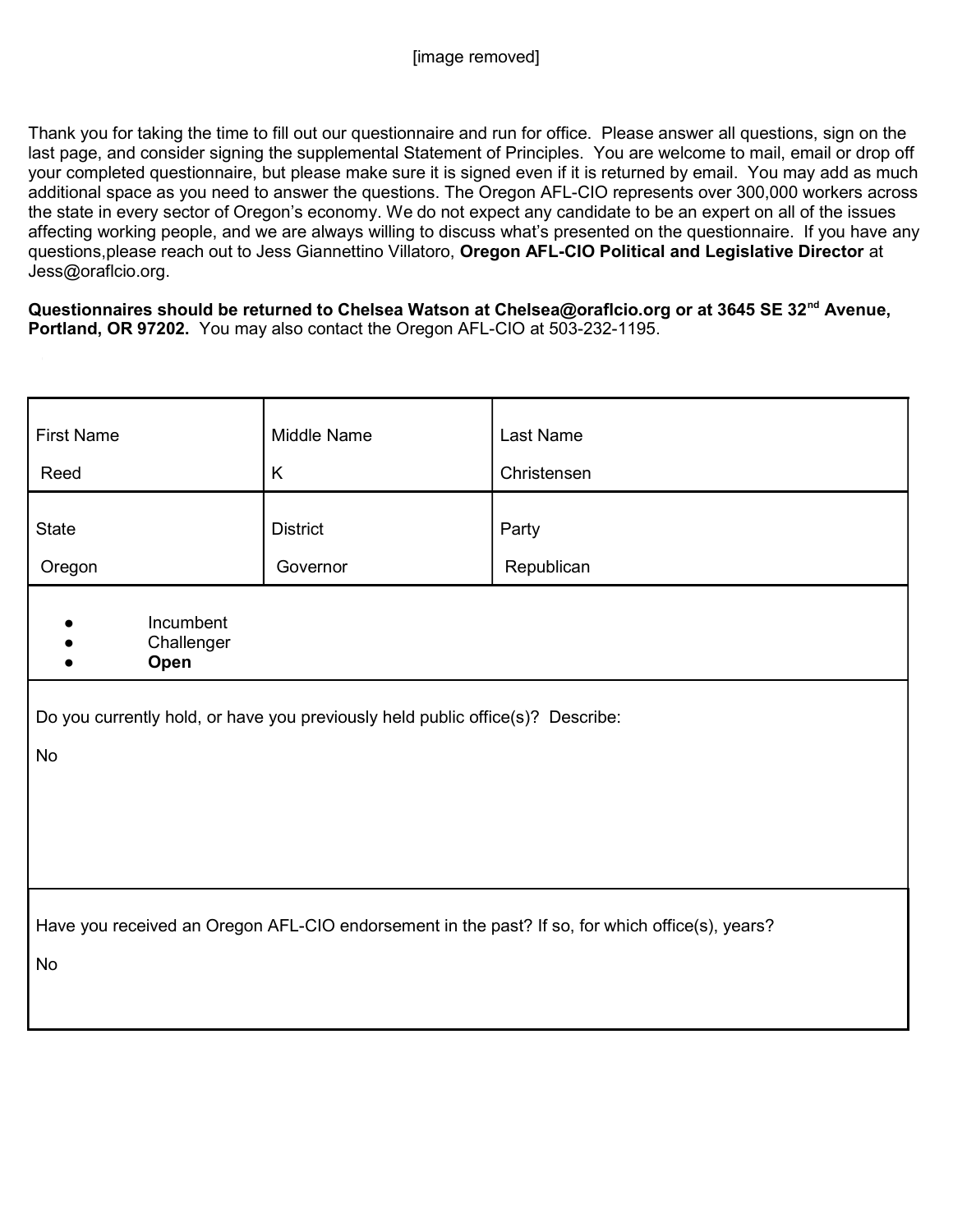Thank you for taking the time to fill out our questionnaire and run for office. Please answer all questions, sign on the last page, and consider signing the supplemental Statement of Principles. You are welcome to mail, email or drop off your completed questionnaire, but please make sure it is signed even if it is returned by email. You may add as much additional space as you need to answer the questions. The Oregon AFL-CIO represents over 300,000 workers across the state in every sector of Oregon's economy. We do not expect any candidate to be an expert on all of the issues affecting working people, and we are always willing to discuss what's presented on the questionnaire. If you have any questions, please reach out to Jess Giannettino Villatoro, Oregon AFL-CIO Political and Legislative Director at Jess@oraflcio.org.

Questionnaires should be returned to Chelsea Watson at Chelsea@oraflcio.org or at 3645 SE 32<sup>nd</sup> Avenue, Portland, OR 97202. You may also contact the Oregon AFL-CIO at 503-232-1195.

| <b>First Name</b>                                                                               | Middle Name     | <b>Last Name</b> |  |  |
|-------------------------------------------------------------------------------------------------|-----------------|------------------|--|--|
| Reed                                                                                            | K               | Christensen      |  |  |
| <b>State</b>                                                                                    | <b>District</b> | Party            |  |  |
| Oregon                                                                                          | Governor        | Republican       |  |  |
| Incumbent<br>Challenger<br>Open                                                                 |                 |                  |  |  |
| Do you currently hold, or have you previously held public office(s)? Describe:                  |                 |                  |  |  |
| No                                                                                              |                 |                  |  |  |
|                                                                                                 |                 |                  |  |  |
|                                                                                                 |                 |                  |  |  |
|                                                                                                 |                 |                  |  |  |
| Have you received an Oregon AFL-CIO endorsement in the past? If so, for which office(s), years? |                 |                  |  |  |
| No                                                                                              |                 |                  |  |  |
|                                                                                                 |                 |                  |  |  |
|                                                                                                 |                 |                  |  |  |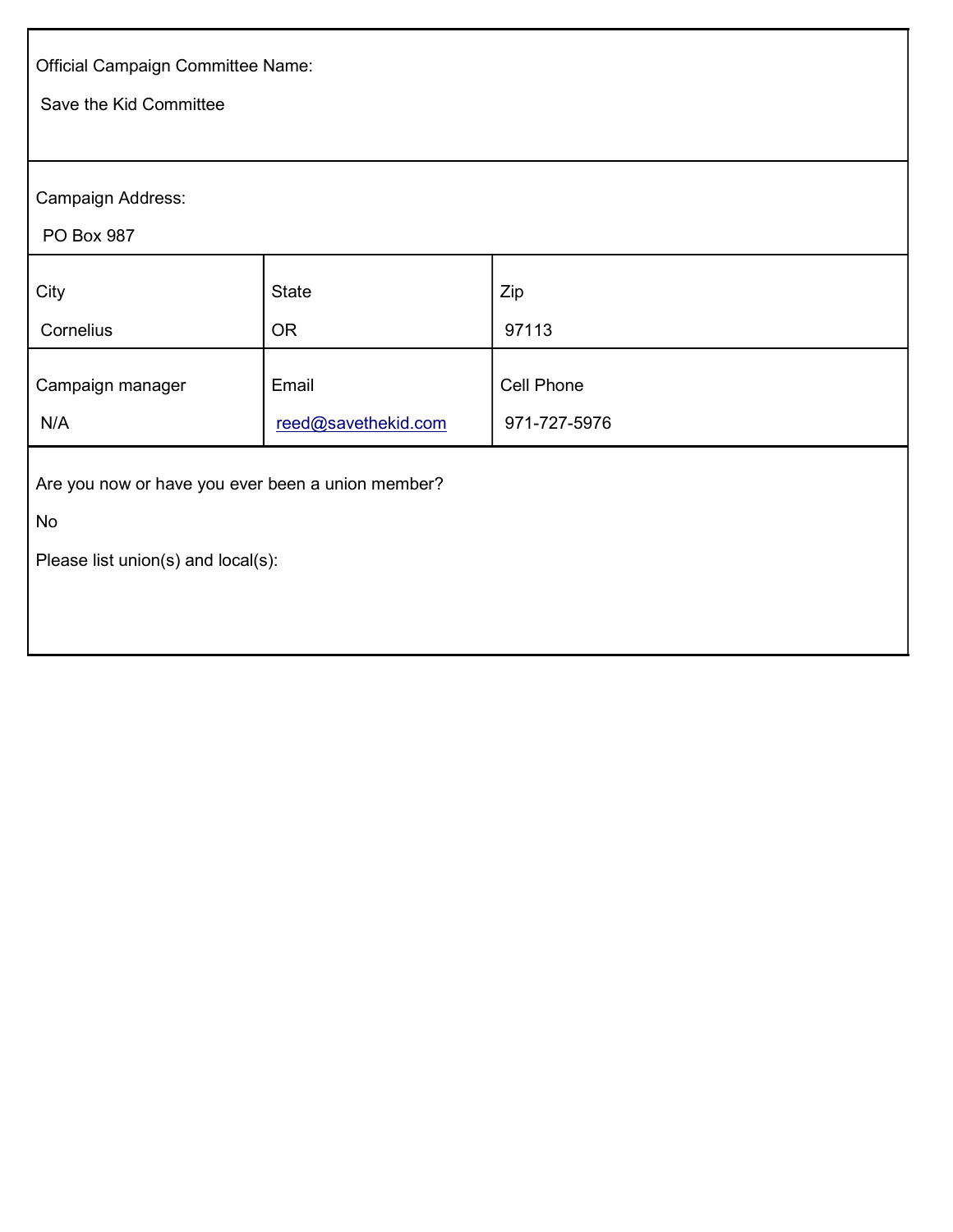| Official Campaign Committee Name:                 |                     |              |  |  |  |
|---------------------------------------------------|---------------------|--------------|--|--|--|
| Save the Kid Committee                            |                     |              |  |  |  |
|                                                   |                     |              |  |  |  |
| Campaign Address:                                 |                     |              |  |  |  |
| PO Box 987                                        |                     |              |  |  |  |
| City                                              | <b>State</b>        | Zip          |  |  |  |
| Cornelius                                         | <b>OR</b>           | 97113        |  |  |  |
| Campaign manager                                  | Email               | Cell Phone   |  |  |  |
| N/A                                               | reed@savethekid.com | 971-727-5976 |  |  |  |
| Are you now or have you ever been a union member? |                     |              |  |  |  |
| No                                                |                     |              |  |  |  |
| Please list union(s) and local(s):                |                     |              |  |  |  |
|                                                   |                     |              |  |  |  |
|                                                   |                     |              |  |  |  |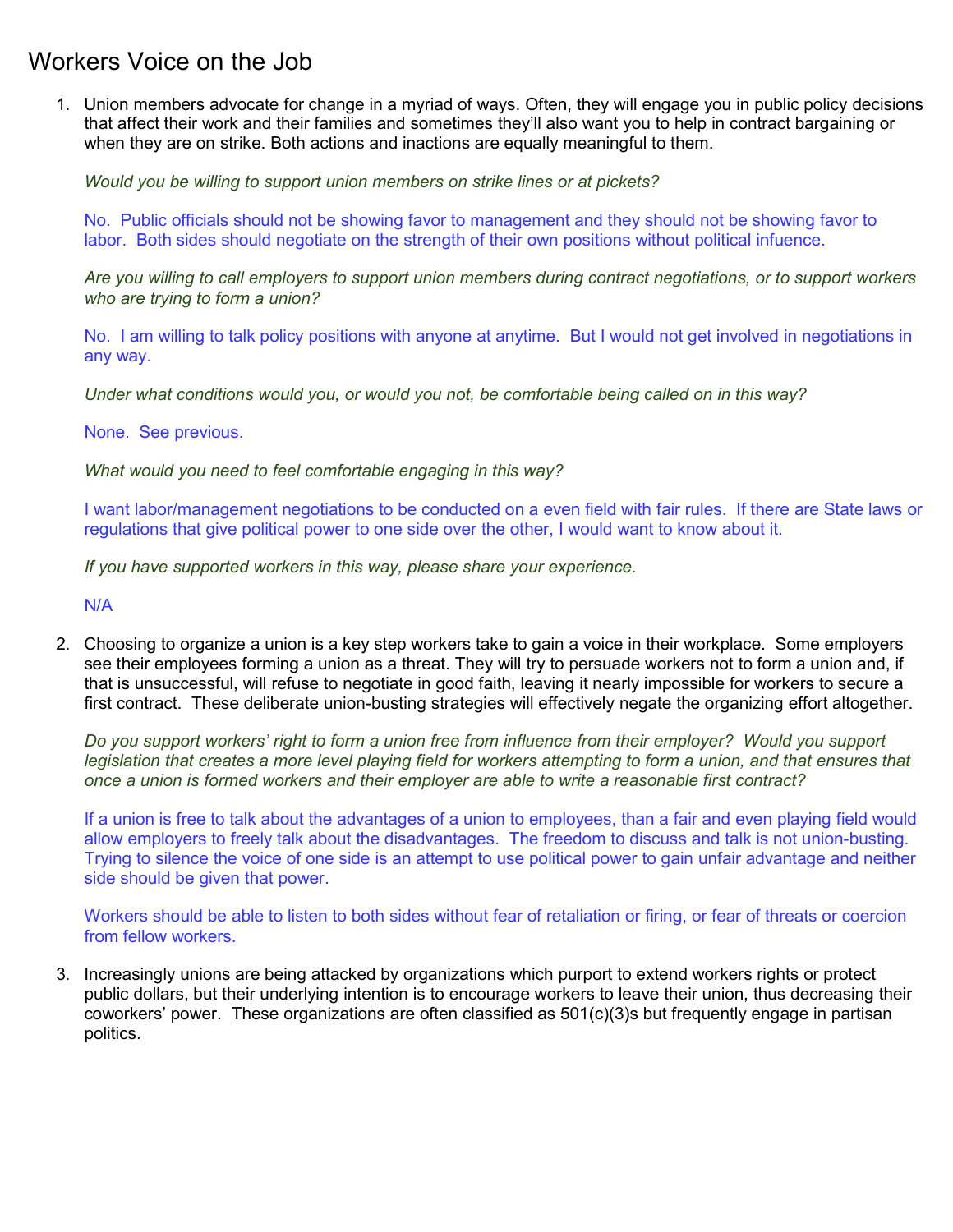## Workers Voice on the Job

1. Union members advocate for change in a myriad of ways. Often, they will engage you in public policy decisions that affect their work and their families and sometimes they'll also want you to help in contract bargaining or when they are on strike. Both actions and inactions are equally meaningful to them.

Would you be willing to support union members on strike lines or at pickets?

No. Public officials should not be showing favor to management and they should not be showing favor to labor. Both sides should negotiate on the strength of their own positions without political infuence.

Are you willing to call employers to support union members during contract negotiations, or to support workers who are trying to form a union?

No. I am willing to talk policy positions with anyone at anytime. But I would not get involved in negotiations in any way.

Under what conditions would you, or would you not, be comfortable being called on in this way?

None. See previous.

What would you need to feel comfortable engaging in this way?

I want labor/management negotiations to be conducted on a even field with fair rules. If there are State laws or regulations that give political power to one side over the other, I would want to know about it.

If you have supported workers in this way, please share your experience.

N/A

2. Choosing to organize a union is a key step workers take to gain a voice in their workplace. Some employers see their employees forming a union as a threat. They will try to persuade workers not to form a union and, if that is unsuccessful, will refuse to negotiate in good faith, leaving it nearly impossible for workers to secure a first contract. These deliberate union-busting strategies will effectively negate the organizing effort altogether.

Do you support workers' right to form a union free from influence from their employer? Would you support legislation that creates a more level playing field for workers attempting to form a union, and that ensures that once a union is formed workers and their employer are able to write a reasonable first contract?

If a union is free to talk about the advantages of a union to employees, than a fair and even playing field would allow employers to freely talk about the disadvantages. The freedom to discuss and talk is not union-busting. Trying to silence the voice of one side is an attempt to use political power to gain unfair advantage and neither side should be given that power.

Workers should be able to listen to both sides without fear of retaliation or firing, or fear of threats or coercion from fellow workers.

3. Increasingly unions are being attacked by organizations which purport to extend workers rights or protect public dollars, but their underlying intention is to encourage workers to leave their union, thus decreasing their coworkers' power. These organizations are often classified as 501(c)(3)s but frequently engage in partisan politics.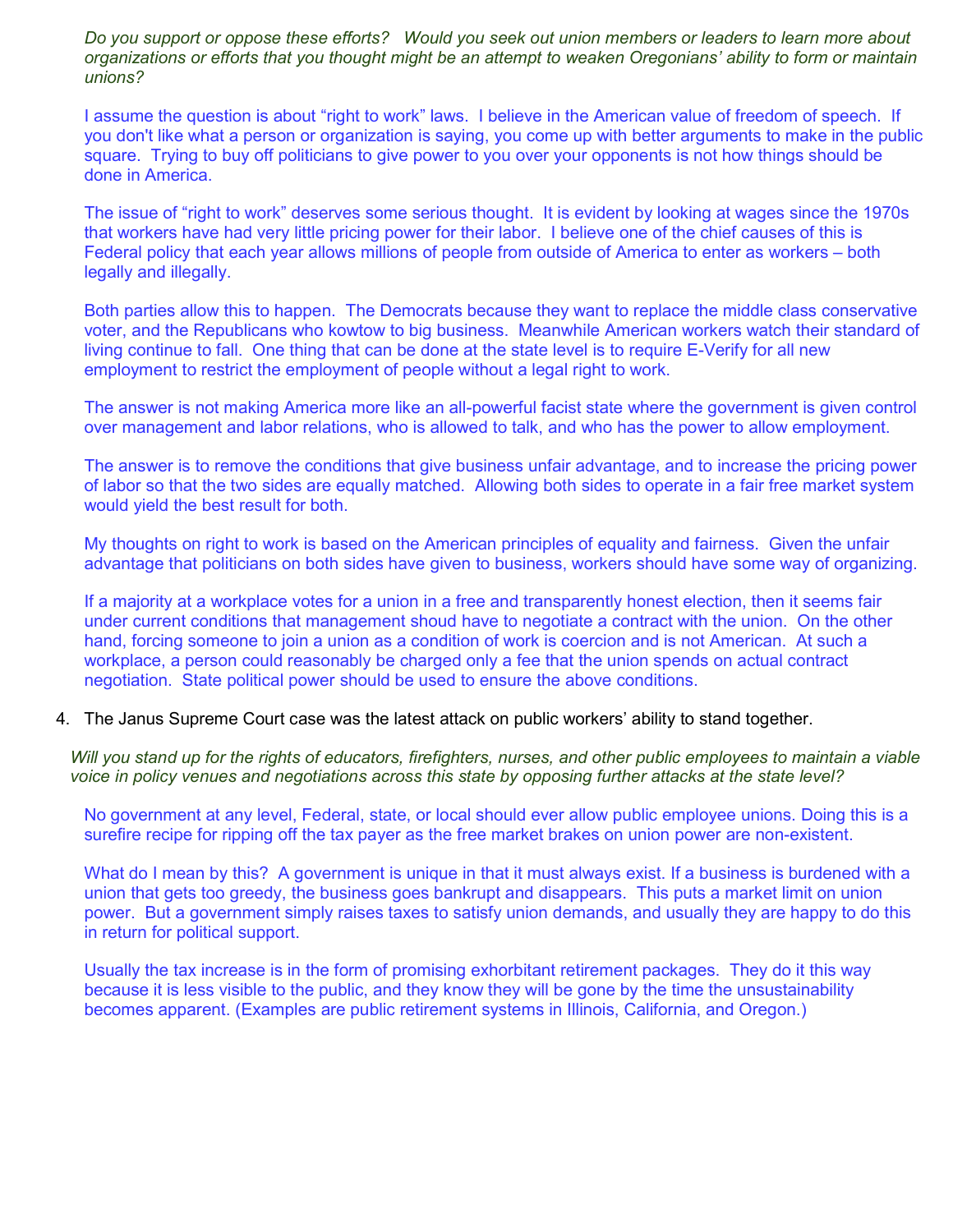Do you support or oppose these efforts? Would you seek out union members or leaders to learn more about organizations or efforts that you thought might be an attempt to weaken Oregonians' ability to form or maintain unions?

I assume the question is about "right to work" laws. I believe in the American value of freedom of speech. If you don't like what a person or organization is saying, you come up with better arguments to make in the public square. Trying to buy off politicians to give power to you over your opponents is not how things should be done in America.

The issue of "right to work" deserves some serious thought. It is evident by looking at wages since the 1970s that workers have had very little pricing power for their labor. I believe one of the chief causes of this is Federal policy that each year allows millions of people from outside of America to enter as workers – both legally and illegally.

Both parties allow this to happen. The Democrats because they want to replace the middle class conservative voter, and the Republicans who kowtow to big business. Meanwhile American workers watch their standard of living continue to fall. One thing that can be done at the state level is to require E-Verify for all new employment to restrict the employment of people without a legal right to work.

The answer is not making America more like an all-powerful facist state where the government is given control over management and labor relations, who is allowed to talk, and who has the power to allow employment.

The answer is to remove the conditions that give business unfair advantage, and to increase the pricing power of labor so that the two sides are equally matched. Allowing both sides to operate in a fair free market system would yield the best result for both.

My thoughts on right to work is based on the American principles of equality and fairness. Given the unfair advantage that politicians on both sides have given to business, workers should have some way of organizing.

If a majority at a workplace votes for a union in a free and transparently honest election, then it seems fair under current conditions that management shoud have to negotiate a contract with the union. On the other hand, forcing someone to join a union as a condition of work is coercion and is not American. At such a workplace, a person could reasonably be charged only a fee that the union spends on actual contract negotiation. State political power should be used to ensure the above conditions.

4. The Janus Supreme Court case was the latest attack on public workers' ability to stand together.

Will you stand up for the rights of educators, firefighters, nurses, and other public employees to maintain a viable voice in policy venues and negotiations across this state by opposing further attacks at the state level?

No government at any level, Federal, state, or local should ever allow public employee unions. Doing this is a surefire recipe for ripping off the tax payer as the free market brakes on union power are non-existent.

What do I mean by this? A government is unique in that it must always exist. If a business is burdened with a union that gets too greedy, the business goes bankrupt and disappears. This puts a market limit on union power. But a government simply raises taxes to satisfy union demands, and usually they are happy to do this in return for political support.

Usually the tax increase is in the form of promising exhorbitant retirement packages. They do it this way because it is less visible to the public, and they know they will be gone by the time the unsustainability becomes apparent. (Examples are public retirement systems in Illinois, California, and Oregon.)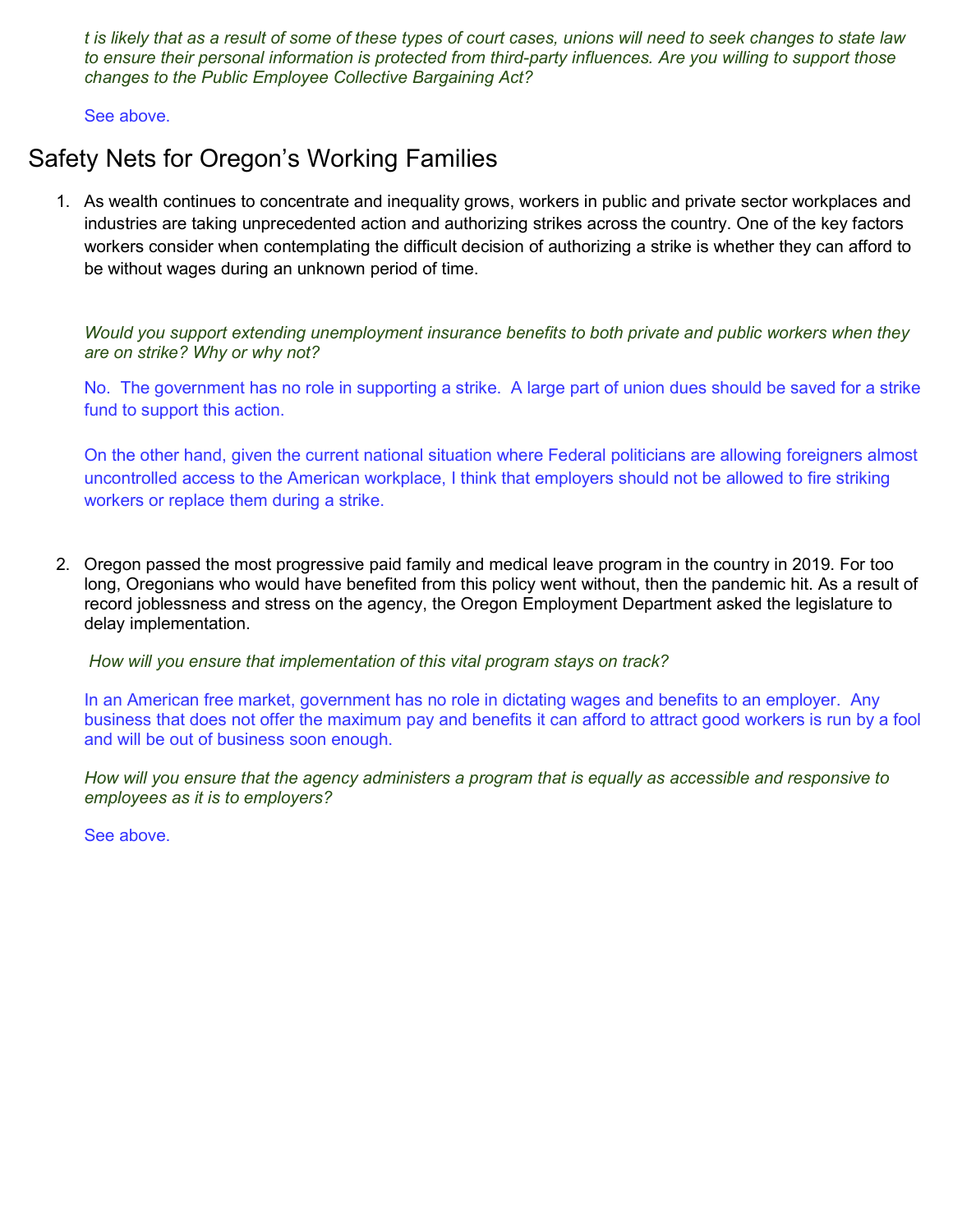t is likely that as a result of some of these types of court cases, unions will need to seek changes to state law to ensure their personal information is protected from third-party influences. Are you willing to support those changes to the Public Employee Collective Bargaining Act?

See above.

## Safety Nets for Oregon's Working Families

1. As wealth continues to concentrate and inequality grows, workers in public and private sector workplaces and industries are taking unprecedented action and authorizing strikes across the country. One of the key factors workers consider when contemplating the difficult decision of authorizing a strike is whether they can afford to be without wages during an unknown period of time.

Would you support extending unemployment insurance benefits to both private and public workers when they are on strike? Why or why not?

No. The government has no role in supporting a strike. A large part of union dues should be saved for a strike fund to support this action.

On the other hand, given the current national situation where Federal politicians are allowing foreigners almost uncontrolled access to the American workplace, I think that employers should not be allowed to fire striking workers or replace them during a strike.

2. Oregon passed the most progressive paid family and medical leave program in the country in 2019. For too long, Oregonians who would have benefited from this policy went without, then the pandemic hit. As a result of record joblessness and stress on the agency, the Oregon Employment Department asked the legislature to delay implementation.

How will you ensure that implementation of this vital program stays on track?

In an American free market, government has no role in dictating wages and benefits to an employer. Any business that does not offer the maximum pay and benefits it can afford to attract good workers is run by a fool and will be out of business soon enough.

How will you ensure that the agency administers a program that is equally as accessible and responsive to employees as it is to employers?

See above.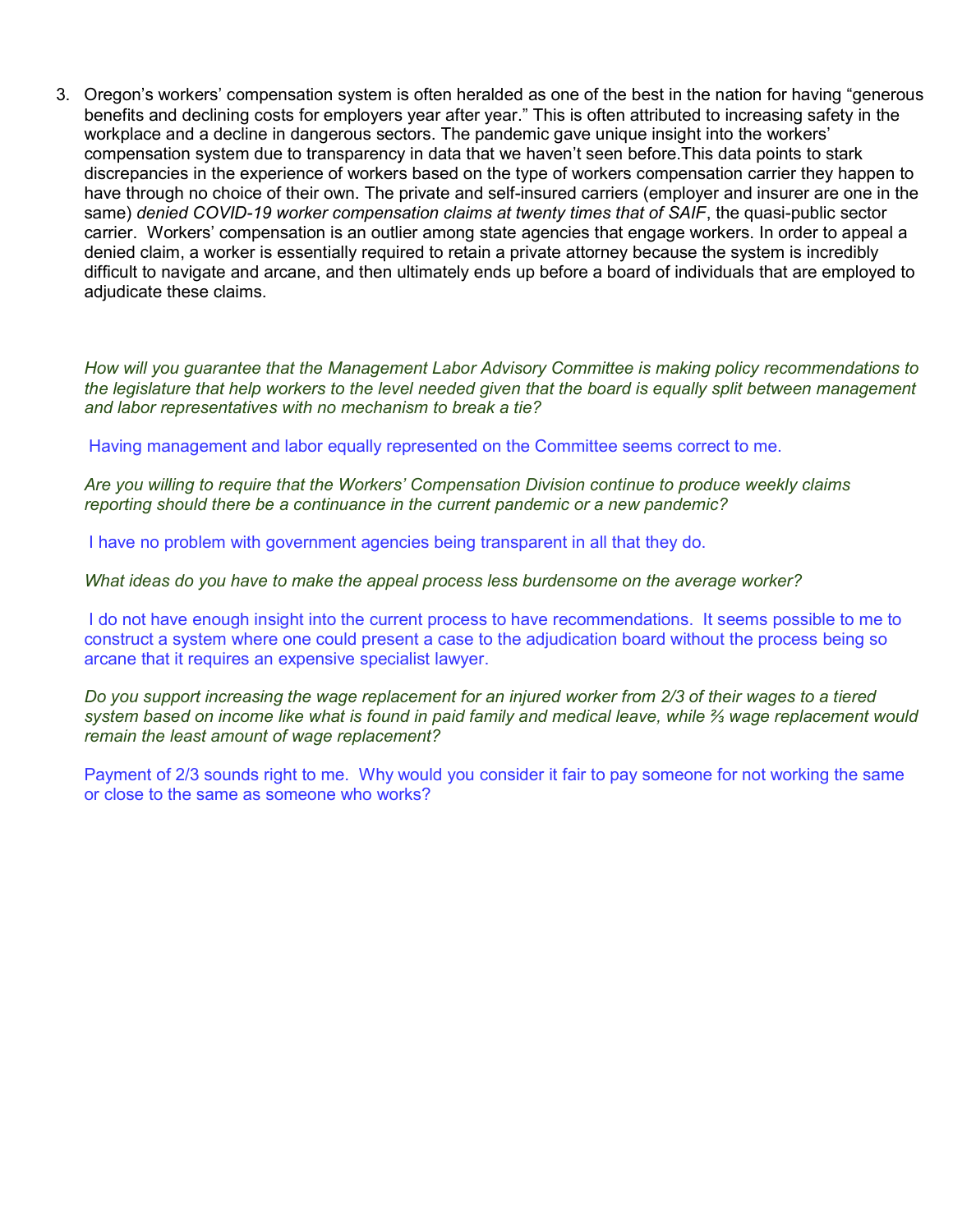3. Oregon's workers' compensation system is often heralded as one of the best in the nation for having "generous benefits and declining costs for employers year after year." This is often attributed to increasing safety in the workplace and a decline in dangerous sectors. The pandemic gave unique insight into the workers' compensation system due to transparency in data that we haven't seen before.This data points to stark discrepancies in the experience of workers based on the type of workers compensation carrier they happen to have through no choice of their own. The private and self-insured carriers (employer and insurer are one in the same) denied COVID-19 worker compensation claims at twenty times that of SAIF, the quasi-public sector carrier. Workers' compensation is an outlier among state agencies that engage workers. In order to appeal a denied claim, a worker is essentially required to retain a private attorney because the system is incredibly difficult to navigate and arcane, and then ultimately ends up before a board of individuals that are employed to adjudicate these claims.

How will you guarantee that the Management Labor Advisory Committee is making policy recommendations to the legislature that help workers to the level needed given that the board is equally split between management and labor representatives with no mechanism to break a tie?

Having management and labor equally represented on the Committee seems correct to me.

Are you willing to require that the Workers' Compensation Division continue to produce weekly claims reporting should there be a continuance in the current pandemic or a new pandemic?

I have no problem with government agencies being transparent in all that they do.

What ideas do you have to make the appeal process less burdensome on the average worker?

I do not have enough insight into the current process to have recommendations. It seems possible to me to construct a system where one could present a case to the adjudication board without the process being so arcane that it requires an expensive specialist lawyer.

Do you support increasing the wage replacement for an injured worker from 2/3 of their wages to a tiered system based on income like what is found in paid family and medical leave, while ⅔ wage replacement would remain the least amount of wage replacement?

Payment of 2/3 sounds right to me. Why would you consider it fair to pay someone for not working the same or close to the same as someone who works?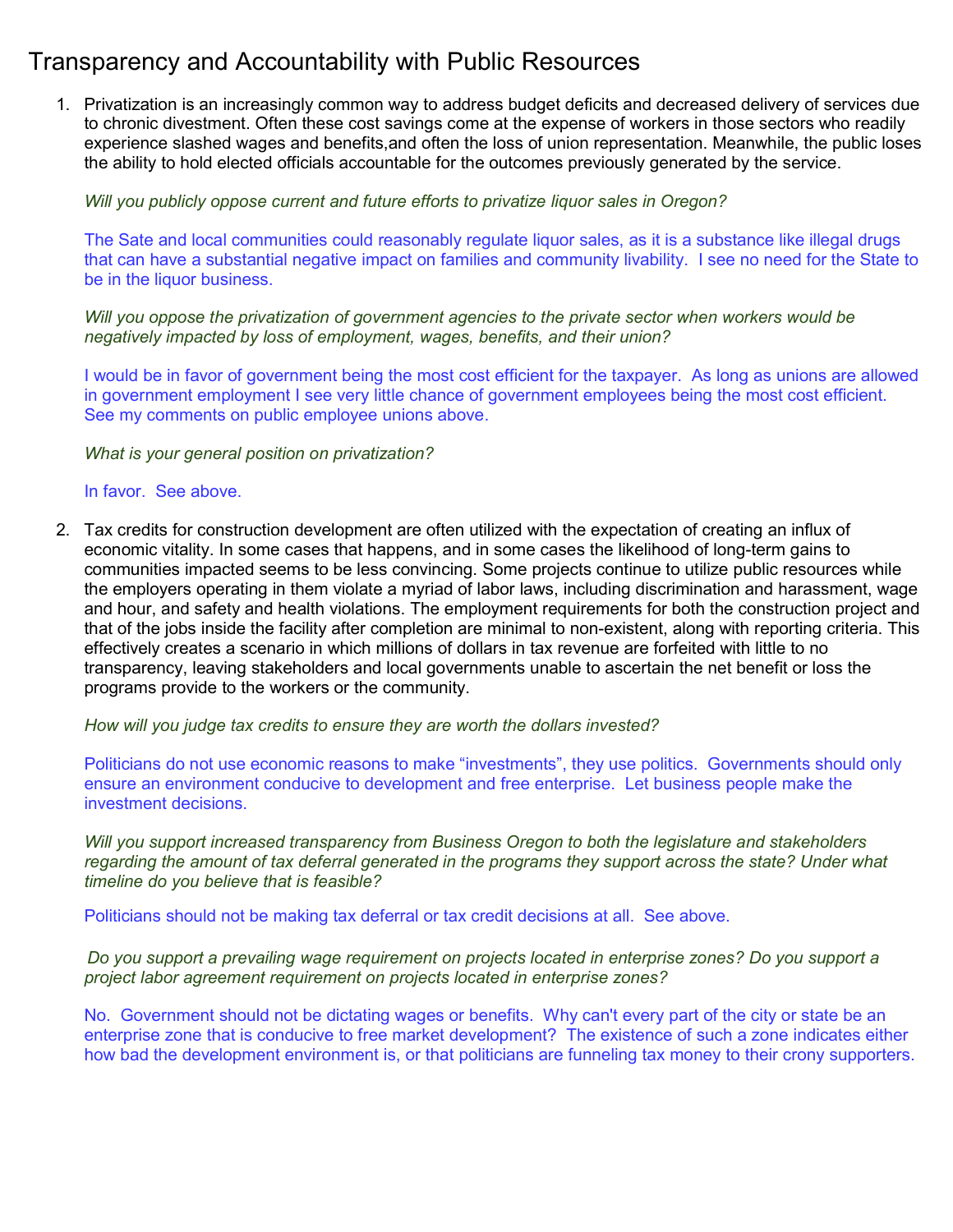# Transparency and Accountability with Public Resources

1. Privatization is an increasingly common way to address budget deficits and decreased delivery of services due to chronic divestment. Often these cost savings come at the expense of workers in those sectors who readily experience slashed wages and benefits,and often the loss of union representation. Meanwhile, the public loses the ability to hold elected officials accountable for the outcomes previously generated by the service.

#### Will you publicly oppose current and future efforts to privatize liquor sales in Oregon?

The Sate and local communities could reasonably regulate liquor sales, as it is a substance like illegal drugs that can have a substantial negative impact on families and community livability. I see no need for the State to be in the liquor business.

Will you oppose the privatization of government agencies to the private sector when workers would be negatively impacted by loss of employment, wages, benefits, and their union?

I would be in favor of government being the most cost efficient for the taxpayer. As long as unions are allowed in government employment I see very little chance of government employees being the most cost efficient. See my comments on public employee unions above.

What is your general position on privatization?

### In favor. See above.

2. Tax credits for construction development are often utilized with the expectation of creating an influx of economic vitality. In some cases that happens, and in some cases the likelihood of long-term gains to communities impacted seems to be less convincing. Some projects continue to utilize public resources while the employers operating in them violate a myriad of labor laws, including discrimination and harassment, wage and hour, and safety and health violations. The employment requirements for both the construction project and that of the jobs inside the facility after completion are minimal to non-existent, along with reporting criteria. This effectively creates a scenario in which millions of dollars in tax revenue are forfeited with little to no transparency, leaving stakeholders and local governments unable to ascertain the net benefit or loss the programs provide to the workers or the community.

How will you judge tax credits to ensure they are worth the dollars invested?

Politicians do not use economic reasons to make "investments", they use politics. Governments should only ensure an environment conducive to development and free enterprise. Let business people make the investment decisions.

Will you support increased transparency from Business Oregon to both the legislature and stakeholders regarding the amount of tax deferral generated in the programs they support across the state? Under what timeline do you believe that is feasible?

Politicians should not be making tax deferral or tax credit decisions at all. See above.

Do you support a prevailing wage requirement on projects located in enterprise zones? Do you support a project labor agreement requirement on projects located in enterprise zones?

No. Government should not be dictating wages or benefits. Why can't every part of the city or state be an enterprise zone that is conducive to free market development? The existence of such a zone indicates either how bad the development environment is, or that politicians are funneling tax money to their crony supporters.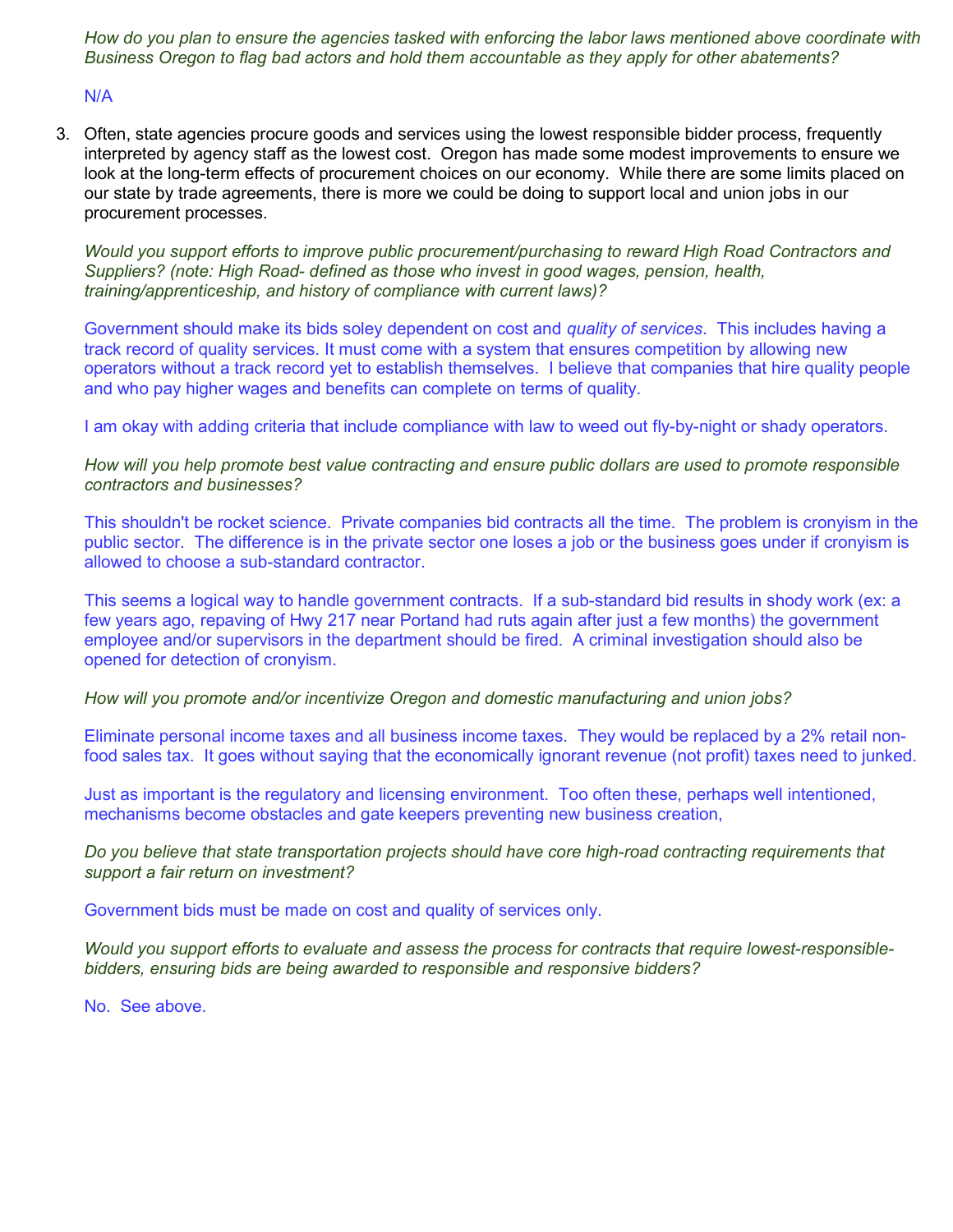How do you plan to ensure the agencies tasked with enforcing the labor laws mentioned above coordinate with Business Oregon to flag bad actors and hold them accountable as they apply for other abatements?

N/A

3. Often, state agencies procure goods and services using the lowest responsible bidder process, frequently interpreted by agency staff as the lowest cost. Oregon has made some modest improvements to ensure we look at the long-term effects of procurement choices on our economy. While there are some limits placed on our state by trade agreements, there is more we could be doing to support local and union jobs in our procurement processes.

Would you support efforts to improve public procurement/purchasing to reward High Road Contractors and Suppliers? (note: High Road- defined as those who invest in good wages, pension, health, training/apprenticeship, and history of compliance with current laws)?

Government should make its bids soley dependent on cost and *quality of services*. This includes having a track record of quality services. It must come with a system that ensures competition by allowing new operators without a track record yet to establish themselves. I believe that companies that hire quality people and who pay higher wages and benefits can complete on terms of quality.

I am okay with adding criteria that include compliance with law to weed out fly-by-night or shady operators.

How will you help promote best value contracting and ensure public dollars are used to promote responsible contractors and businesses?

This shouldn't be rocket science. Private companies bid contracts all the time. The problem is cronyism in the public sector. The difference is in the private sector one loses a job or the business goes under if cronyism is allowed to choose a sub-standard contractor.

This seems a logical way to handle government contracts. If a sub-standard bid results in shody work (ex: a few years ago, repaving of Hwy 217 near Portand had ruts again after just a few months) the government employee and/or supervisors in the department should be fired. A criminal investigation should also be opened for detection of cronyism.

### How will you promote and/or incentivize Oregon and domestic manufacturing and union jobs?

Eliminate personal income taxes and all business income taxes. They would be replaced by a 2% retail nonfood sales tax. It goes without saying that the economically ignorant revenue (not profit) taxes need to junked.

Just as important is the regulatory and licensing environment. Too often these, perhaps well intentioned, mechanisms become obstacles and gate keepers preventing new business creation,

### Do you believe that state transportation projects should have core high-road contracting requirements that support a fair return on investment?

Government bids must be made on cost and quality of services only.

Would you support efforts to evaluate and assess the process for contracts that require lowest-responsiblebidders, ensuring bids are being awarded to responsible and responsive bidders?

No. See above.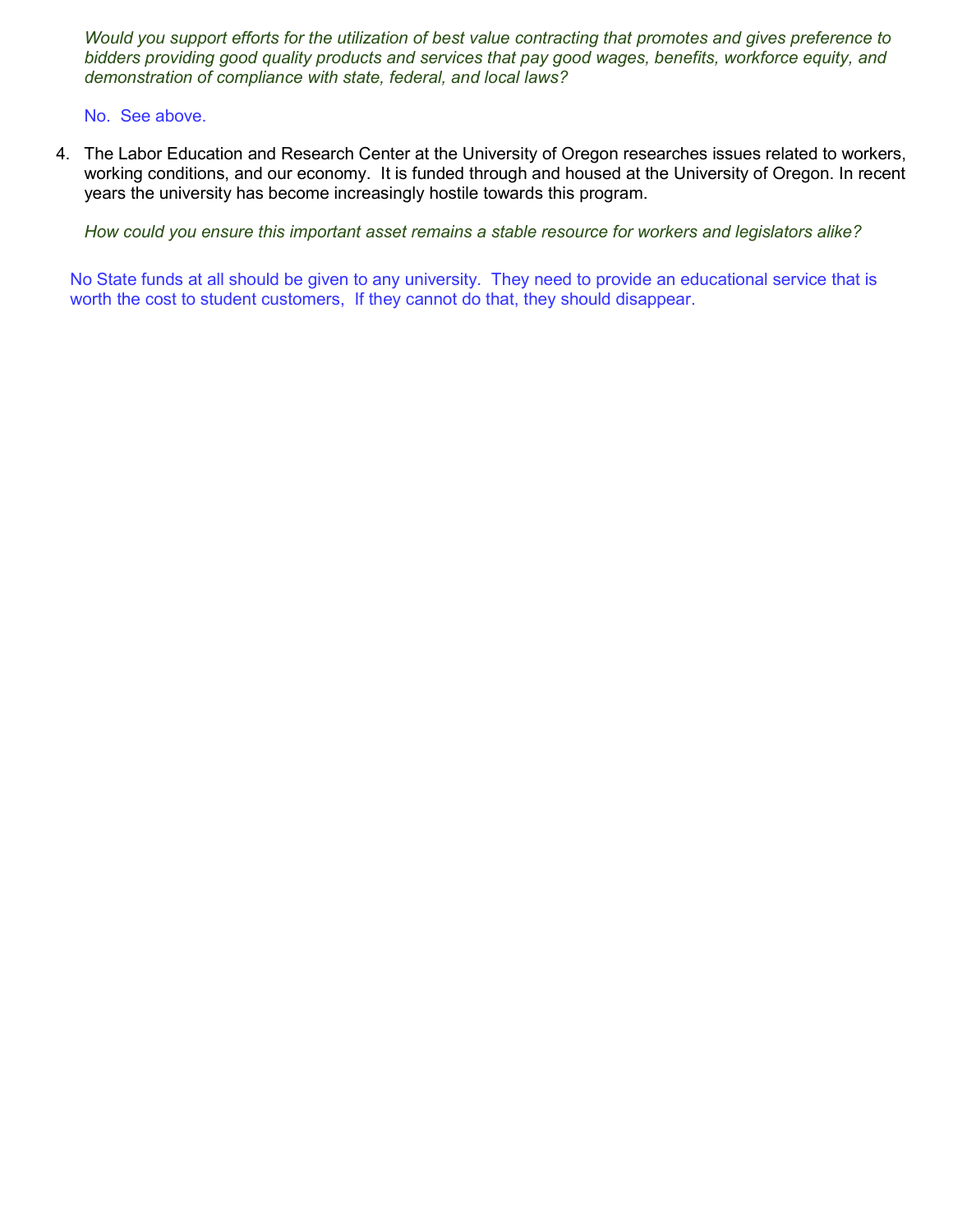Would you support efforts for the utilization of best value contracting that promotes and gives preference to bidders providing good quality products and services that pay good wages, benefits, workforce equity, and demonstration of compliance with state, federal, and local laws?

No. See above.

4. The Labor Education and Research Center at the University of Oregon researches issues related to workers, working conditions, and our economy. It is funded through and housed at the University of Oregon. In recent years the university has become increasingly hostile towards this program.

How could you ensure this important asset remains a stable resource for workers and legislators alike?

No State funds at all should be given to any university. They need to provide an educational service that is worth the cost to student customers, If they cannot do that, they should disappear.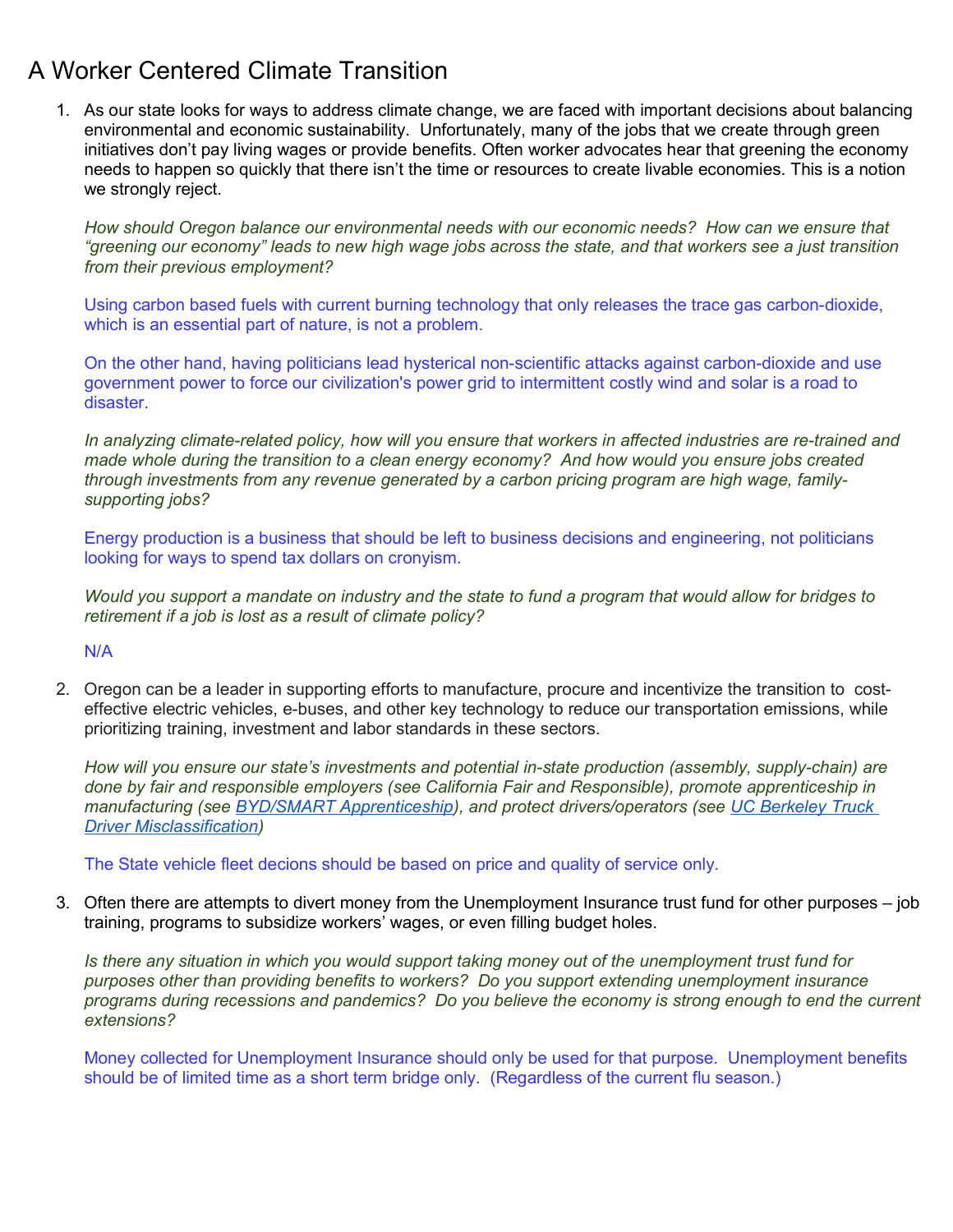# A Worker Centered Climate Transition

1. As our state looks for ways to address climate change, we are faced with important decisions about balancing environmental and economic sustainability. Unfortunately, many of the jobs that we create through green initiatives don't pay living wages or provide benefits. Often worker advocates hear that greening the economy needs to happen so quickly that there isn't the time or resources to create livable economies. This is a notion we strongly reject.

How should Oregon balance our environmental needs with our economic needs? How can we ensure that "greening our economy" leads to new high wage jobs across the state, and that workers see a just transition from their previous employment?

Using carbon based fuels with current burning technology that only releases the trace gas carbon-dioxide, which is an essential part of nature, is not a problem.

On the other hand, having politicians lead hysterical non-scientific attacks against carbon-dioxide and use government power to force our civilization's power grid to intermittent costly wind and solar is a road to disaster.

In analyzing climate-related policy, how will you ensure that workers in affected industries are re-trained and made whole during the transition to a clean energy economy? And how would you ensure jobs created through investments from any revenue generated by a carbon pricing program are high wage, familysupporting jobs?

Energy production is a business that should be left to business decisions and engineering, not politicians looking for ways to spend tax dollars on cronyism.

Would you support a mandate on industry and the state to fund a program that would allow for bridges to retirement if a job is lost as a result of climate policy?

N/A

2. Oregon can be a leader in supporting efforts to manufacture, procure and incentivize the transition to costeffective electric vehicles, e-buses, and other key technology to reduce our transportation emissions, while prioritizing training, investment and labor standards in these sectors.

How will you ensure our state's investments and potential in-state production (assembly, supply-chain) are done by fair and responsible employers (see California Fair and Responsible), promote apprenticeship in manufacturing (see BYD/SMART Apprenticeship), and protect drivers/operators (see UC Berkeley Truck Driver Misclassification)

The State vehicle fleet decions should be based on price and quality of service only.

3. Often there are attempts to divert money from the Unemployment Insurance trust fund for other purposes – job training, programs to subsidize workers' wages, or even filling budget holes.

Is there any situation in which you would support taking money out of the unemployment trust fund for purposes other than providing benefits to workers? Do you support extending unemployment insurance programs during recessions and pandemics? Do you believe the economy is strong enough to end the current extensions?

Money collected for Unemployment Insurance should only be used for that purpose. Unemployment benefits should be of limited time as a short term bridge only. (Regardless of the current flu season.)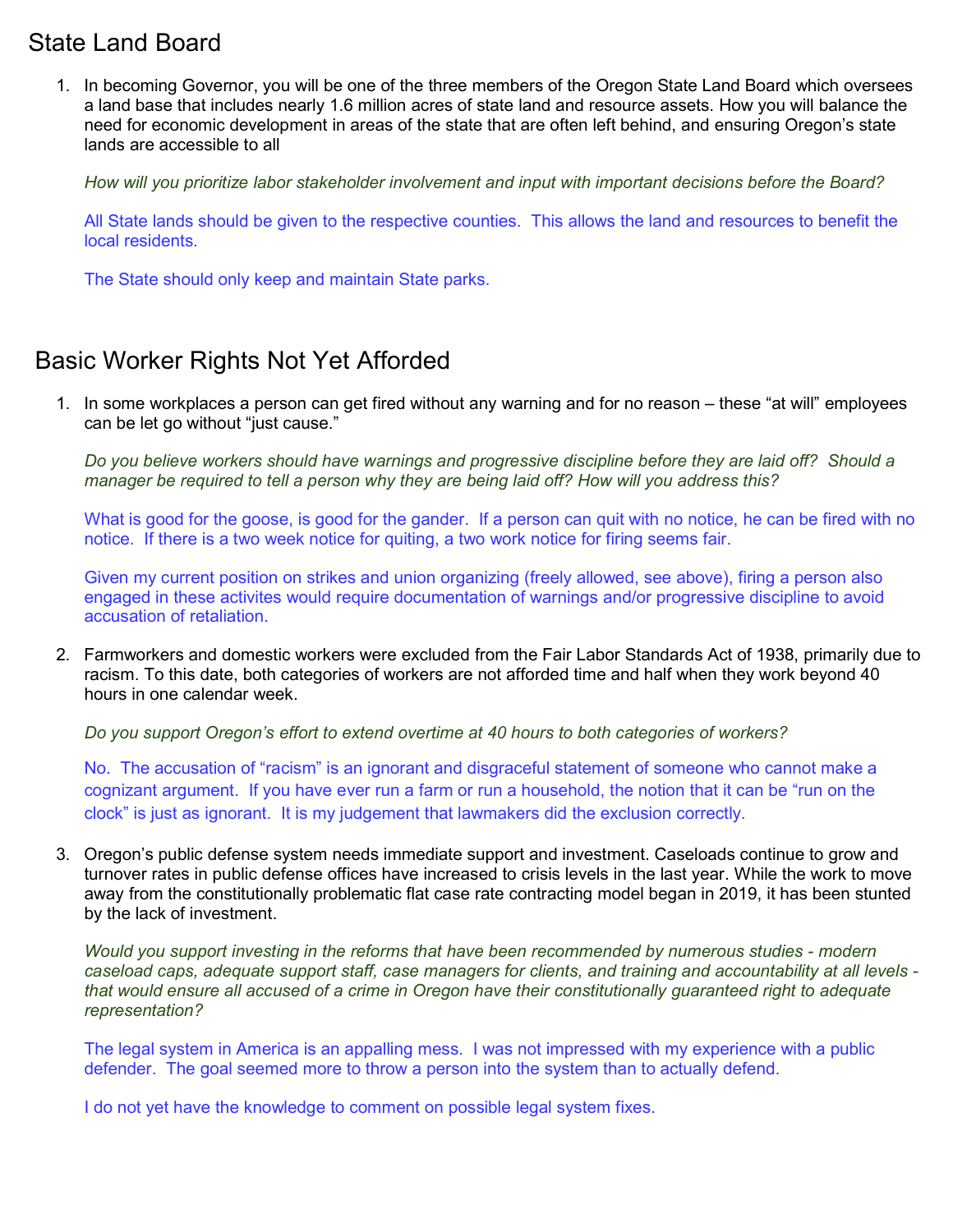### State Land Board

1. In becoming Governor, you will be one of the three members of the Oregon State Land Board which oversees a land base that includes nearly 1.6 million acres of state land and resource assets. How you will balance the need for economic development in areas of the state that are often left behind, and ensuring Oregon's state lands are accessible to all

How will you prioritize labor stakeholder involvement and input with important decisions before the Board?

All State lands should be given to the respective counties. This allows the land and resources to benefit the local residents.

The State should only keep and maintain State parks.

## Basic Worker Rights Not Yet Afforded

1. In some workplaces a person can get fired without any warning and for no reason – these "at will" employees can be let go without "just cause."

Do you believe workers should have warnings and progressive discipline before they are laid off? Should a manager be required to tell a person why they are being laid off? How will you address this?

What is good for the goose, is good for the gander. If a person can quit with no notice, he can be fired with no notice. If there is a two week notice for quiting, a two work notice for firing seems fair.

Given my current position on strikes and union organizing (freely allowed, see above), firing a person also engaged in these activites would require documentation of warnings and/or progressive discipline to avoid accusation of retaliation.

2. Farmworkers and domestic workers were excluded from the Fair Labor Standards Act of 1938, primarily due to racism. To this date, both categories of workers are not afforded time and half when they work beyond 40 hours in one calendar week.

Do you support Oregon's effort to extend overtime at 40 hours to both categories of workers?

No. The accusation of "racism" is an ignorant and disgraceful statement of someone who cannot make a cognizant argument. If you have ever run a farm or run a household, the notion that it can be "run on the clock" is just as ignorant. It is my judgement that lawmakers did the exclusion correctly.

3. Oregon's public defense system needs immediate support and investment. Caseloads continue to grow and turnover rates in public defense offices have increased to crisis levels in the last year. While the work to move away from the constitutionally problematic flat case rate contracting model began in 2019, it has been stunted by the lack of investment.

Would you support investing in the reforms that have been recommended by numerous studies - modern caseload caps, adequate support staff, case managers for clients, and training and accountability at all levels that would ensure all accused of a crime in Oregon have their constitutionally guaranteed right to adequate representation?

The legal system in America is an appalling mess. I was not impressed with my experience with a public defender. The goal seemed more to throw a person into the system than to actually defend.

I do not yet have the knowledge to comment on possible legal system fixes.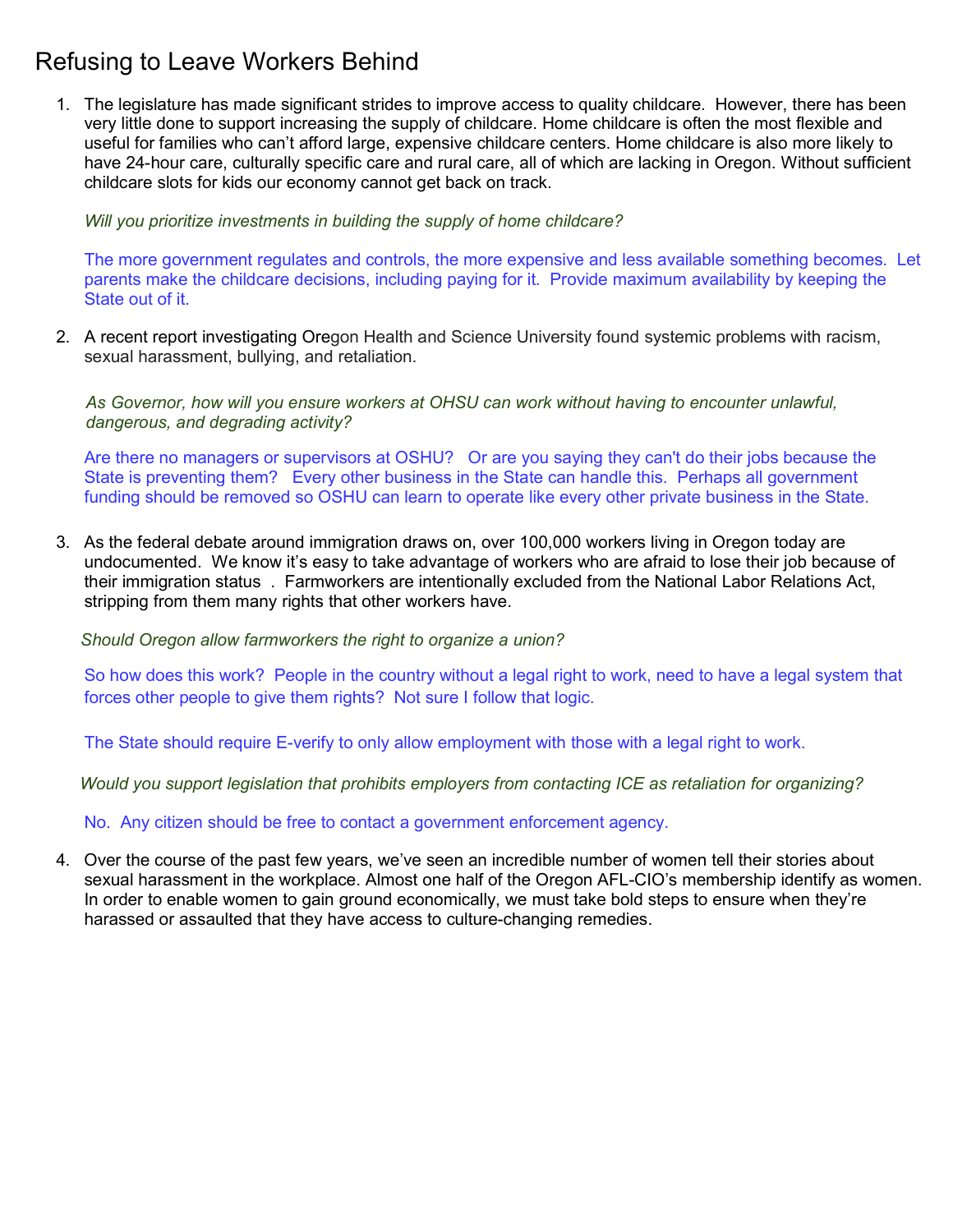# Refusing to Leave Workers Behind

1. The legislature has made significant strides to improve access to quality childcare. However, there has been very little done to support increasing the supply of childcare. Home childcare is often the most flexible and useful for families who can't afford large, expensive childcare centers. Home childcare is also more likely to have 24-hour care, culturally specific care and rural care, all of which are lacking in Oregon. Without sufficient childcare slots for kids our economy cannot get back on track.

Will you prioritize investments in building the supply of home childcare?

The more government regulates and controls, the more expensive and less available something becomes. Let parents make the childcare decisions, including paying for it. Provide maximum availability by keeping the State out of it.

2. A recent report investigating Oregon Health and Science University found systemic problems with racism, sexual harassment, bullying, and retaliation.

As Governor, how will you ensure workers at OHSU can work without having to encounter unlawful, dangerous, and degrading activity?

Are there no managers or supervisors at OSHU? Or are you saying they can't do their jobs because the State is preventing them? Every other business in the State can handle this. Perhaps all government funding should be removed so OSHU can learn to operate like every other private business in the State.

3. As the federal debate around immigration draws on, over 100,000 workers living in Oregon today are undocumented. We know it's easy to take advantage of workers who are afraid to lose their job because of their immigration status . Farmworkers are intentionally excluded from the National Labor Relations Act, stripping from them many rights that other workers have.

Should Oregon allow farmworkers the right to organize a union?

So how does this work? People in the country without a legal right to work, need to have a legal system that forces other people to give them rights? Not sure I follow that logic.

The State should require E-verify to only allow employment with those with a legal right to work.

Would you support legislation that prohibits employers from contacting ICE as retaliation for organizing?

No. Any citizen should be free to contact a government enforcement agency.

4. Over the course of the past few years, we've seen an incredible number of women tell their stories about sexual harassment in the workplace. Almost one half of the Oregon AFL-CIO's membership identify as women. In order to enable women to gain ground economically, we must take bold steps to ensure when they're harassed or assaulted that they have access to culture-changing remedies.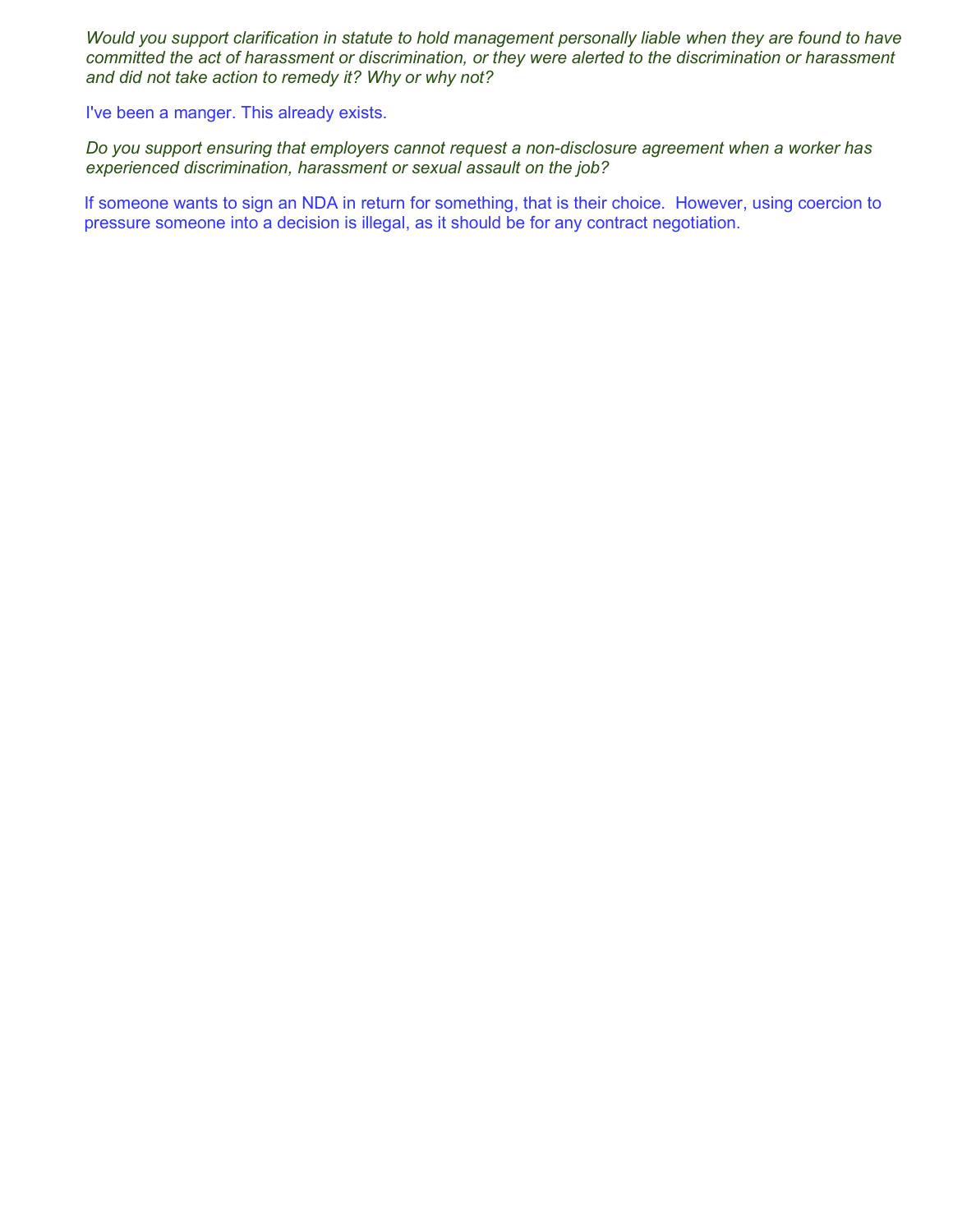Would you support clarification in statute to hold management personally liable when they are found to have committed the act of harassment or discrimination, or they were alerted to the discrimination or harassment and did not take action to remedy it? Why or why not?

I've been a manger. This already exists.

Do you support ensuring that employers cannot request a non-disclosure agreement when a worker has experienced discrimination, harassment or sexual assault on the job?

If someone wants to sign an NDA in return for something, that is their choice. However, using coercion to pressure someone into a decision is illegal, as it should be for any contract negotiation.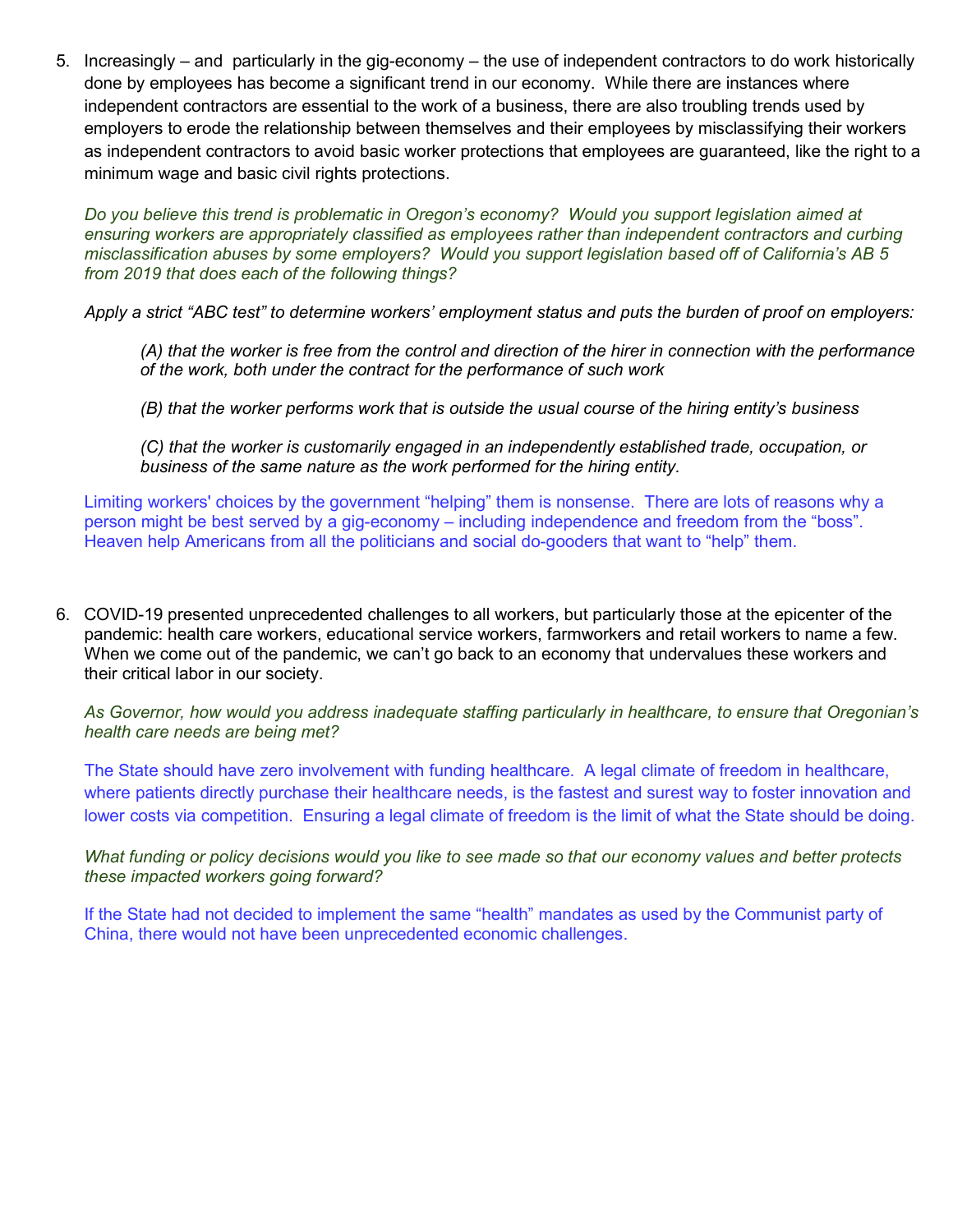5. Increasingly – and particularly in the gig-economy – the use of independent contractors to do work historically done by employees has become a significant trend in our economy. While there are instances where independent contractors are essential to the work of a business, there are also troubling trends used by employers to erode the relationship between themselves and their employees by misclassifying their workers as independent contractors to avoid basic worker protections that employees are guaranteed, like the right to a minimum wage and basic civil rights protections.

Do you believe this trend is problematic in Oregon's economy? Would you support legislation aimed at ensuring workers are appropriately classified as employees rather than independent contractors and curbing misclassification abuses by some employers? Would you support legislation based off of California's AB 5 from 2019 that does each of the following things?

Apply a strict "ABC test" to determine workers' employment status and puts the burden of proof on employers:

(A) that the worker is free from the control and direction of the hirer in connection with the performance of the work, both under the contract for the performance of such work

(B) that the worker performs work that is outside the usual course of the hiring entity's business

(C) that the worker is customarily engaged in an independently established trade, occupation, or business of the same nature as the work performed for the hiring entity.

Limiting workers' choices by the government "helping" them is nonsense. There are lots of reasons why a person might be best served by a gig-economy – including independence and freedom from the "boss". Heaven help Americans from all the politicians and social do-gooders that want to "help" them.

6. COVID-19 presented unprecedented challenges to all workers, but particularly those at the epicenter of the pandemic: health care workers, educational service workers, farmworkers and retail workers to name a few. When we come out of the pandemic, we can't go back to an economy that undervalues these workers and their critical labor in our society.

As Governor, how would you address inadequate staffing particularly in healthcare, to ensure that Oregonian's health care needs are being met?

The State should have zero involvement with funding healthcare. A legal climate of freedom in healthcare, where patients directly purchase their healthcare needs, is the fastest and surest way to foster innovation and lower costs via competition. Ensuring a legal climate of freedom is the limit of what the State should be doing.

What funding or policy decisions would you like to see made so that our economy values and better protects these impacted workers going forward?

If the State had not decided to implement the same "health" mandates as used by the Communist party of China, there would not have been unprecedented economic challenges.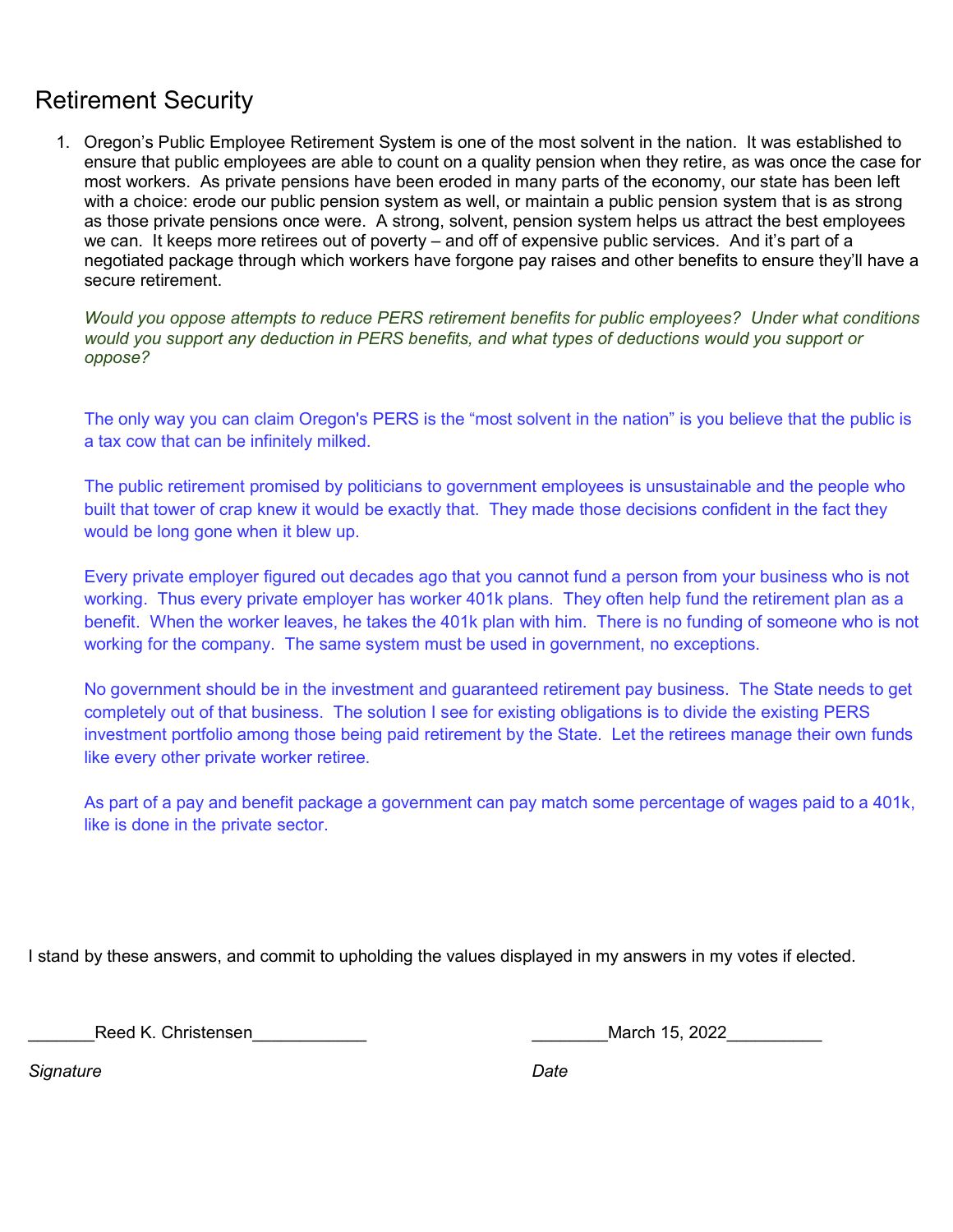## Retirement Security

1. Oregon's Public Employee Retirement System is one of the most solvent in the nation. It was established to ensure that public employees are able to count on a quality pension when they retire, as was once the case for most workers. As private pensions have been eroded in many parts of the economy, our state has been left with a choice: erode our public pension system as well, or maintain a public pension system that is as strong as those private pensions once were. A strong, solvent, pension system helps us attract the best employees we can. It keeps more retirees out of poverty – and off of expensive public services. And it's part of a negotiated package through which workers have forgone pay raises and other benefits to ensure they'll have a secure retirement.

Would you oppose attempts to reduce PERS retirement benefits for public employees? Under what conditions would you support any deduction in PERS benefits, and what types of deductions would you support or oppose?

The only way you can claim Oregon's PERS is the "most solvent in the nation" is you believe that the public is a tax cow that can be infinitely milked.

The public retirement promised by politicians to government employees is unsustainable and the people who built that tower of crap knew it would be exactly that. They made those decisions confident in the fact they would be long gone when it blew up.

Every private employer figured out decades ago that you cannot fund a person from your business who is not working. Thus every private employer has worker 401k plans. They often help fund the retirement plan as a benefit. When the worker leaves, he takes the 401k plan with him. There is no funding of someone who is not working for the company. The same system must be used in government, no exceptions.

No government should be in the investment and guaranteed retirement pay business. The State needs to get completely out of that business. The solution I see for existing obligations is to divide the existing PERS investment portfolio among those being paid retirement by the State. Let the retirees manage their own funds like every other private worker retiree.

As part of a pay and benefit package a government can pay match some percentage of wages paid to a 401k, like is done in the private sector.

I stand by these answers, and commit to upholding the values displayed in my answers in my votes if elected.

\_\_\_\_\_\_\_Reed K. Christensen\_\_\_\_\_\_\_\_\_\_\_\_ \_\_\_\_\_\_\_\_March 15, 2022\_\_\_\_\_\_\_\_\_\_

Signature Date **Date**